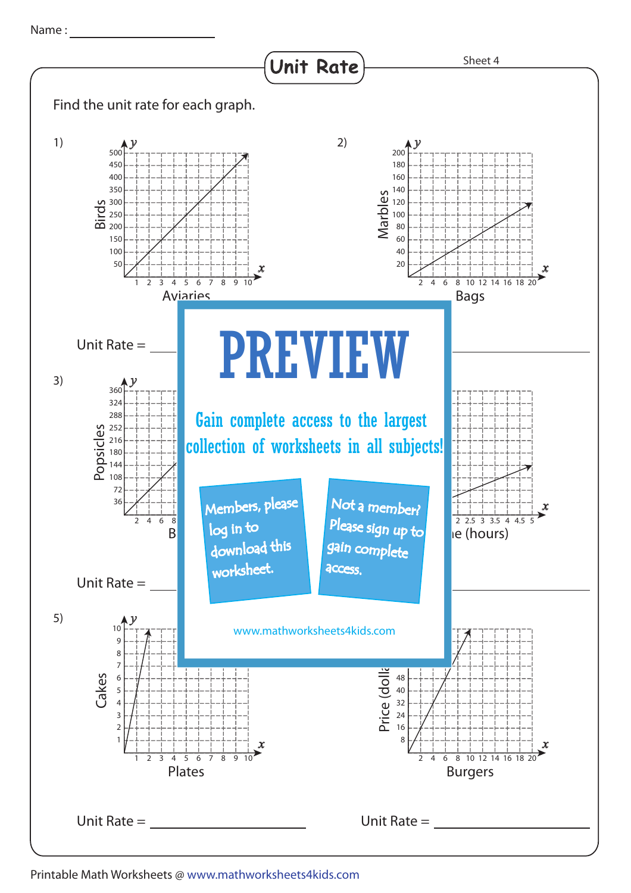